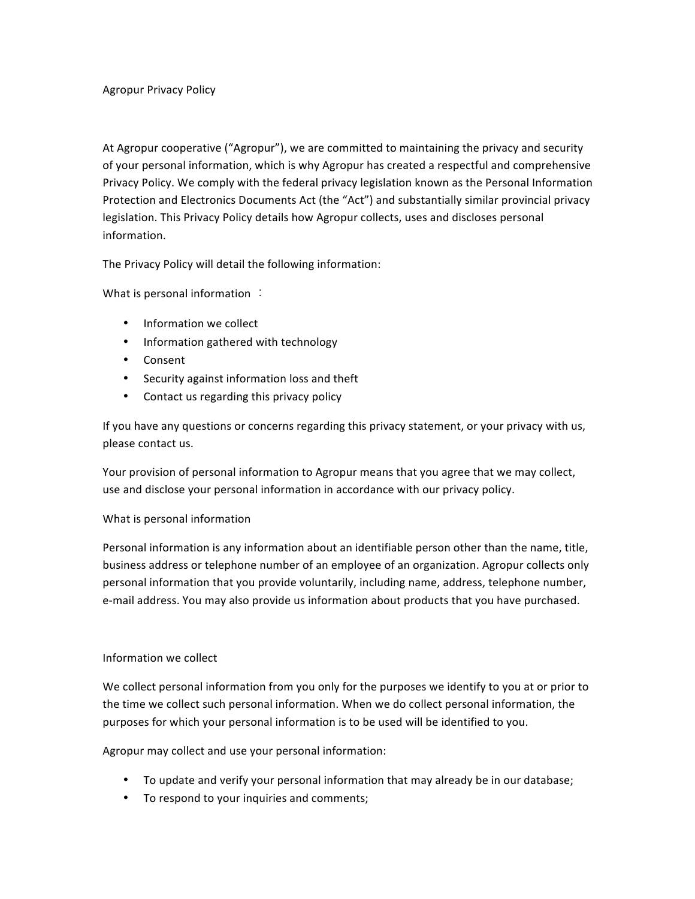At Agropur cooperative ("Agropur"), we are committed to maintaining the privacy and security of your personal information, which is why Agropur has created a respectful and comprehensive Privacy Policy. We comply with the federal privacy legislation known as the Personal Information Protection and Electronics Documents Act (the "Act") and substantially similar provincial privacy legislation. This Privacy Policy details how Agropur collects, uses and discloses personal information. 

The Privacy Policy will detail the following information:

What is personal information  $\therefore$ 

- Information we collect
- Information gathered with technology
- Consent
- Security against information loss and theft
- Contact us regarding this privacy policy

If you have any questions or concerns regarding this privacy statement, or your privacy with us, please contact us.

Your provision of personal information to Agropur means that you agree that we may collect, use and disclose your personal information in accordance with our privacy policy.

## What is personal information

Personal information is any information about an identifiable person other than the name, title, business address or telephone number of an employee of an organization. Agropur collects only personal information that you provide voluntarily, including name, address, telephone number, e-mail address. You may also provide us information about products that you have purchased.

## Information we collect

We collect personal information from you only for the purposes we identify to you at or prior to the time we collect such personal information. When we do collect personal information, the purposes for which your personal information is to be used will be identified to you.

Agropur may collect and use your personal information:

- To update and verify your personal information that may already be in our database;
- To respond to your inquiries and comments;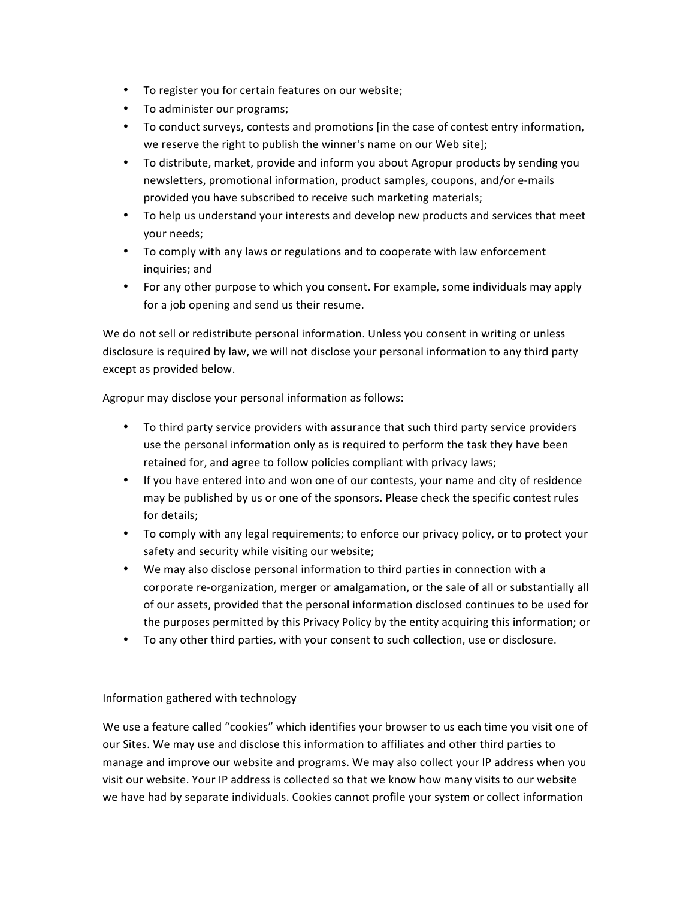- To register you for certain features on our website;
- To administer our programs;
- To conduct surveys, contests and promotions [in the case of contest entry information, we reserve the right to publish the winner's name on our Web site];
- To distribute, market, provide and inform you about Agropur products by sending you newsletters, promotional information, product samples, coupons, and/or e-mails provided you have subscribed to receive such marketing materials;
- To help us understand your interests and develop new products and services that meet your needs;
- To comply with any laws or regulations and to cooperate with law enforcement inquiries; and
- For any other purpose to which you consent. For example, some individuals may apply for a job opening and send us their resume.

We do not sell or redistribute personal information. Unless you consent in writing or unless disclosure is required by law, we will not disclose your personal information to any third party except as provided below.

Agropur may disclose your personal information as follows:

- To third party service providers with assurance that such third party service providers use the personal information only as is required to perform the task they have been retained for, and agree to follow policies compliant with privacy laws;
- If you have entered into and won one of our contests, your name and city of residence may be published by us or one of the sponsors. Please check the specific contest rules for details;
- To comply with any legal requirements; to enforce our privacy policy, or to protect your safety and security while visiting our website;
- We may also disclose personal information to third parties in connection with a corporate re-organization, merger or amalgamation, or the sale of all or substantially all of our assets, provided that the personal information disclosed continues to be used for the purposes permitted by this Privacy Policy by the entity acquiring this information; or
- To any other third parties, with your consent to such collection, use or disclosure.

## Information gathered with technology

We use a feature called "cookies" which identifies your browser to us each time you visit one of our Sites. We may use and disclose this information to affiliates and other third parties to manage and improve our website and programs. We may also collect your IP address when you visit our website. Your IP address is collected so that we know how many visits to our website we have had by separate individuals. Cookies cannot profile your system or collect information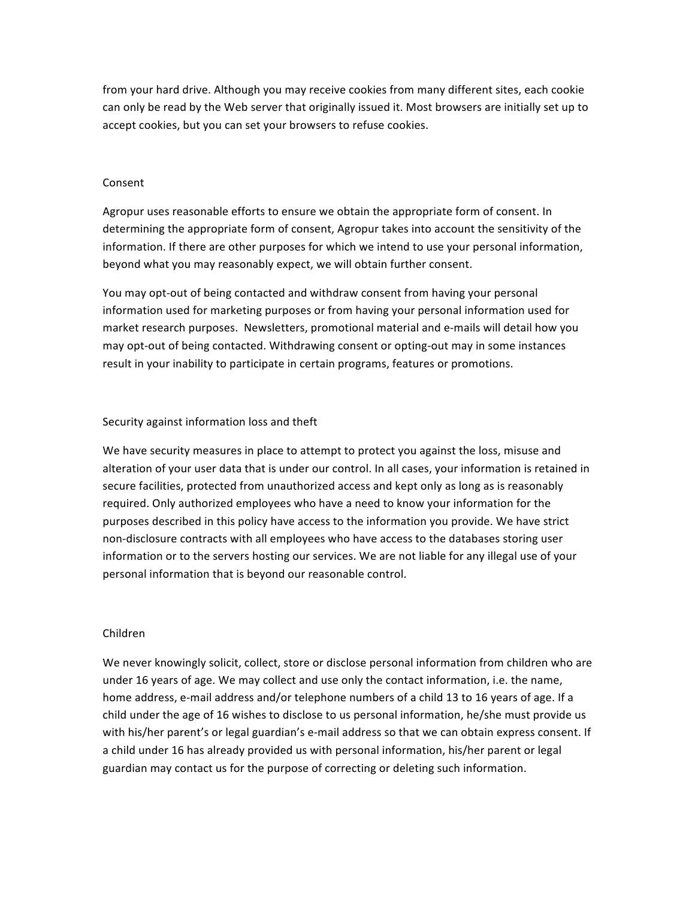from your hard drive. Although you may receive cookies from many different sites, each cookie can only be read by the Web server that originally issued it. Most browsers are initially set up to accept cookies, but you can set your browsers to refuse cookies.

### Consent

Agropur uses reasonable efforts to ensure we obtain the appropriate form of consent. In determining the appropriate form of consent, Agropur takes into account the sensitivity of the information. If there are other purposes for which we intend to use your personal information, beyond what you may reasonably expect, we will obtain further consent.

You may opt-out of being contacted and withdraw consent from having your personal information used for marketing purposes or from having your personal information used for market research purposes. Newsletters, promotional material and e-mails will detail how you may opt-out of being contacted. Withdrawing consent or opting-out may in some instances result in your inability to participate in certain programs, features or promotions.

#### Security against information loss and theft

We have security measures in place to attempt to protect you against the loss, misuse and alteration of your user data that is under our control. In all cases, your information is retained in secure facilities, protected from unauthorized access and kept only as long as is reasonably required. Only authorized employees who have a need to know your information for the purposes described in this policy have access to the information you provide. We have strict non-disclosure contracts with all employees who have access to the databases storing user information or to the servers hosting our services. We are not liable for any illegal use of your personal information that is beyond our reasonable control.

### Children

We never knowingly solicit, collect, store or disclose personal information from children who are under 16 years of age. We may collect and use only the contact information, i.e. the name, home address, e-mail address and/or telephone numbers of a child 13 to 16 years of age. If a child under the age of 16 wishes to disclose to us personal information, he/she must provide us with his/her parent's or legal guardian's e-mail address so that we can obtain express consent. If a child under 16 has already provided us with personal information, his/her parent or legal guardian may contact us for the purpose of correcting or deleting such information.